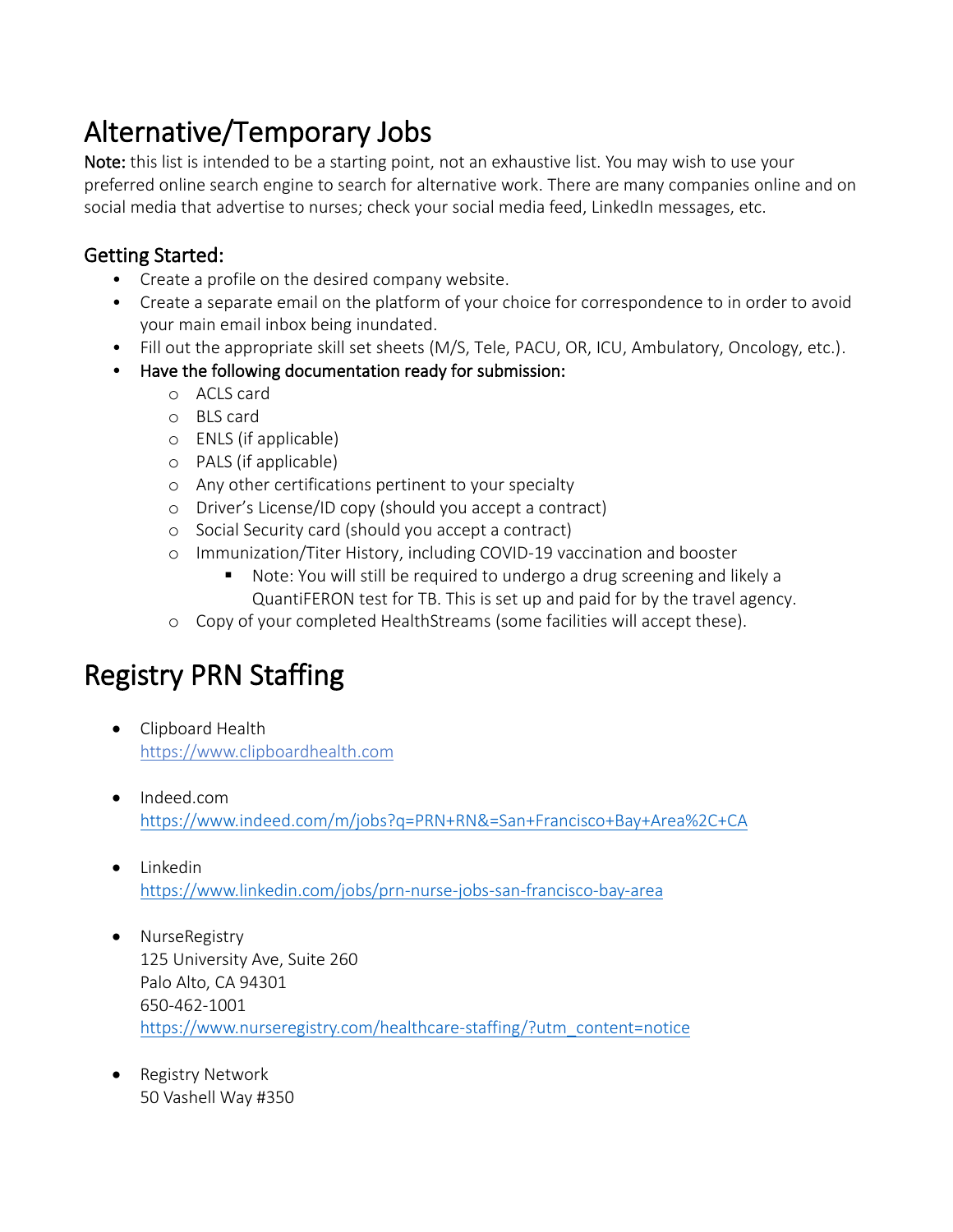# Alternative/Temporary Jobs

Note: this list is intended to be a starting point, not an exhaustive list. You may wish to use your preferred online search engine to search for alternative work. There are many companies online and on social media that advertise to nurses; check your social media feed, LinkedIn messages, etc.

### Getting Started:

- Create a profile on the desired company website.
- Create a separate email on the platform of your choice for correspondence to in order to avoid your main email inbox being inundated.
- Fill out the appropriate skill set sheets (M/S, Tele, PACU, OR, ICU, Ambulatory, Oncology, etc.).
- Have the following documentation ready for submission:
	- o ACLS card
	- o BLS card
	- o ENLS (if applicable)
	- o PALS (if applicable)
	- o Any other certifications pertinent to your specialty
	- o Driver's License/ID copy (should you accept a contract)
	- o Social Security card (should you accept a contract)
	- o Immunization/Titer History, including COVID-19 vaccination and booster
		- Note: You will still be required to undergo a drug screening and likely a QuantiFERON test for TB. This is set up and paid for by the travel agency.
	- o Copy of your completed HealthStreams (some facilities will accept these).

# Registry PRN Staffing

- Clipboard Health https://www.clipboardhealth.com
- Indeed.com <https://www.indeed.com/m/jobs?q=PRN+RN&=San+Francisco+Bay+Area%2C+CA>
- Linkedin <https://www.linkedin.com/jobs/prn-nurse-jobs-san-francisco-bay-area>
- NurseRegistry 125 University Ave, Suite 260 Palo Alto, CA 94301 650-462-1001 [https://www.nurseregistry.com/healthcare-staffing/?utm\\_content=notice](https://www.nurseregistry.com/healthcare-staffing/?utm_content=notice)
- Registry Network 50 Vashell Way #350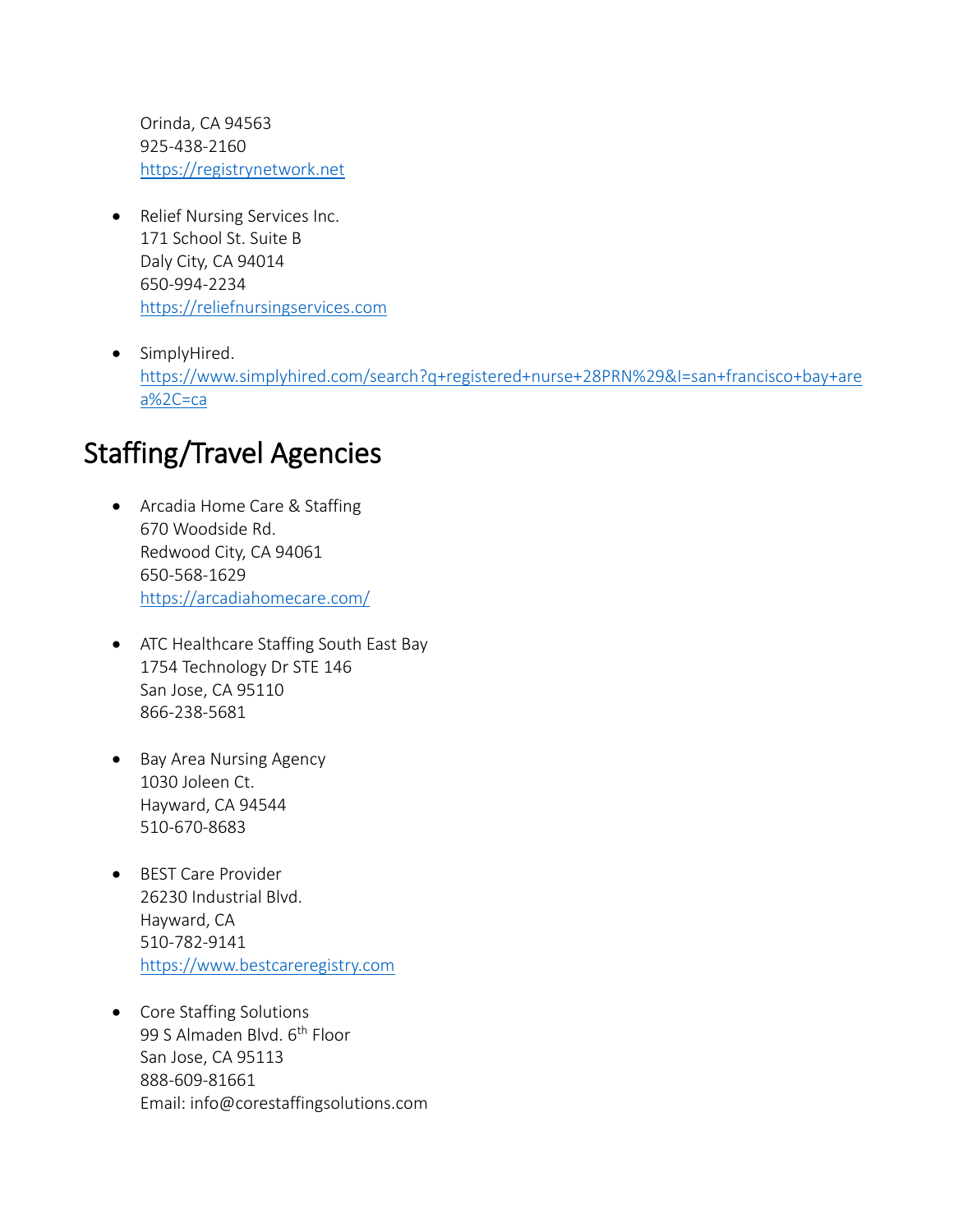Orinda, CA 94563 925-438-2160 [https://registrynetwork.net](https://registrynetwork.net/)

- Relief Nursing Services Inc. 171 School St. Suite B Daly City, CA 94014 650-994-2234 [https://reliefnursingservices.com](https://reliefnursingservices.com/)
- SimplyHired. [https://www.simplyhired.com/search?q+registered+nurse+28PRN%29&I=san+francisco+bay+are](https://www.simplyhired.com/search?q+registered+nurse+28PRN%29&I=san+francisco+bay+area%2C=ca) [a%2C=ca](https://www.simplyhired.com/search?q+registered+nurse+28PRN%29&I=san+francisco+bay+area%2C=ca)

# Staffing/Travel Agencies

- Arcadia Home Care & Staffing 670 Woodside Rd. Redwood City, CA 94061 650-568-1629 <https://arcadiahomecare.com/>
- ATC Healthcare Staffing South East Bay 1754 Technology Dr STE 146 San Jose, CA 95110 866-238-5681
- Bay Area Nursing Agency 1030 Joleen Ct. Hayward, CA 94544 510-670-8683
- BEST Care Provider 26230 Industrial Blvd. Hayward, CA 510-782-9141 [https://www.bestcareregistry.com](https://www.bestcareregistry.com/)
- Core Staffing Solutions 99 S Almaden Blvd. 6<sup>th</sup> Floor San Jose, CA 95113 888-609-81661 Email: info@corestaffingsolutions.com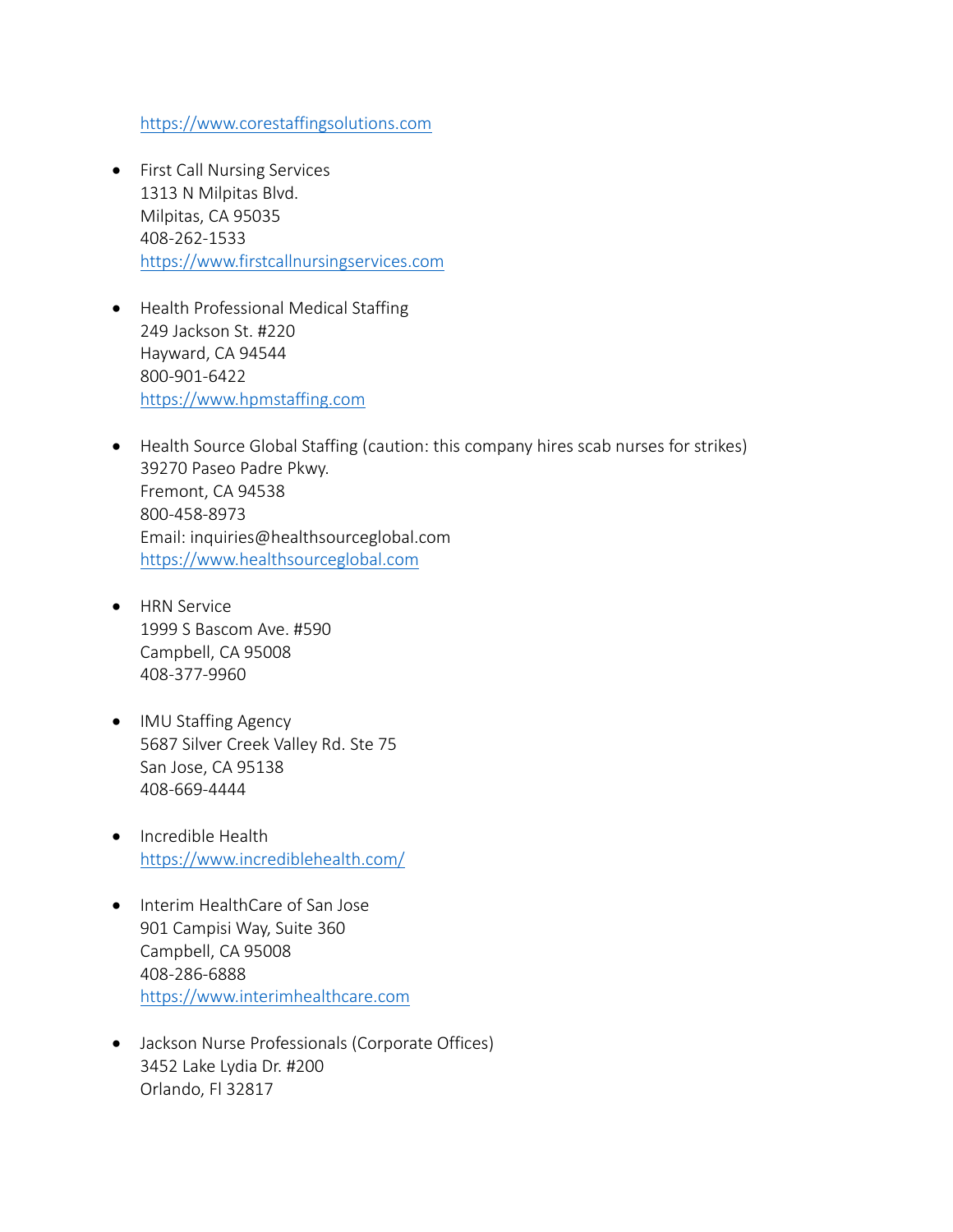[https://www.corestaffingsolutions.com](https://www.corestaffingsolutions.com/)

- First Call Nursing Services 1313 N Milpitas Blvd. Milpitas, CA 95035 408-262-1533 [https://www.firstcallnursingservices.com](https://www.firstcallnursingservices.com/)
- Health Professional Medical Staffing 249 Jackson St. #220 Hayward, CA 94544 800-901-6422 [https://www.hpmstaffing.com](https://www.hpmstaffing.com/)
- Health Source Global Staffing (caution: this company hires scab nurses for strikes) 39270 Paseo Padre Pkwy. Fremont, CA 94538 800-458-8973 Email: inquiries@healthsourceglobal.com [https://www.healthsourceglobal.com](https://www.healthsourceglobal.com/)
- HRN Service 1999 S Bascom Ave. #590 Campbell, CA 95008 408-377-9960
- IMU Staffing Agency 5687 Silver Creek Valley Rd. Ste 75 San Jose, CA 95138 408-669-4444
- Incredible Health <https://www.incrediblehealth.com/>
- Interim HealthCare of San Jose 901 Campisi Way, Suite 360 Campbell, CA 95008 408-286-6888 [https://www.interimhealthcare.com](https://www.interimhealthcare.com/)
- Jackson Nurse Professionals (Corporate Offices) 3452 Lake Lydia Dr. #200 Orlando, Fl 32817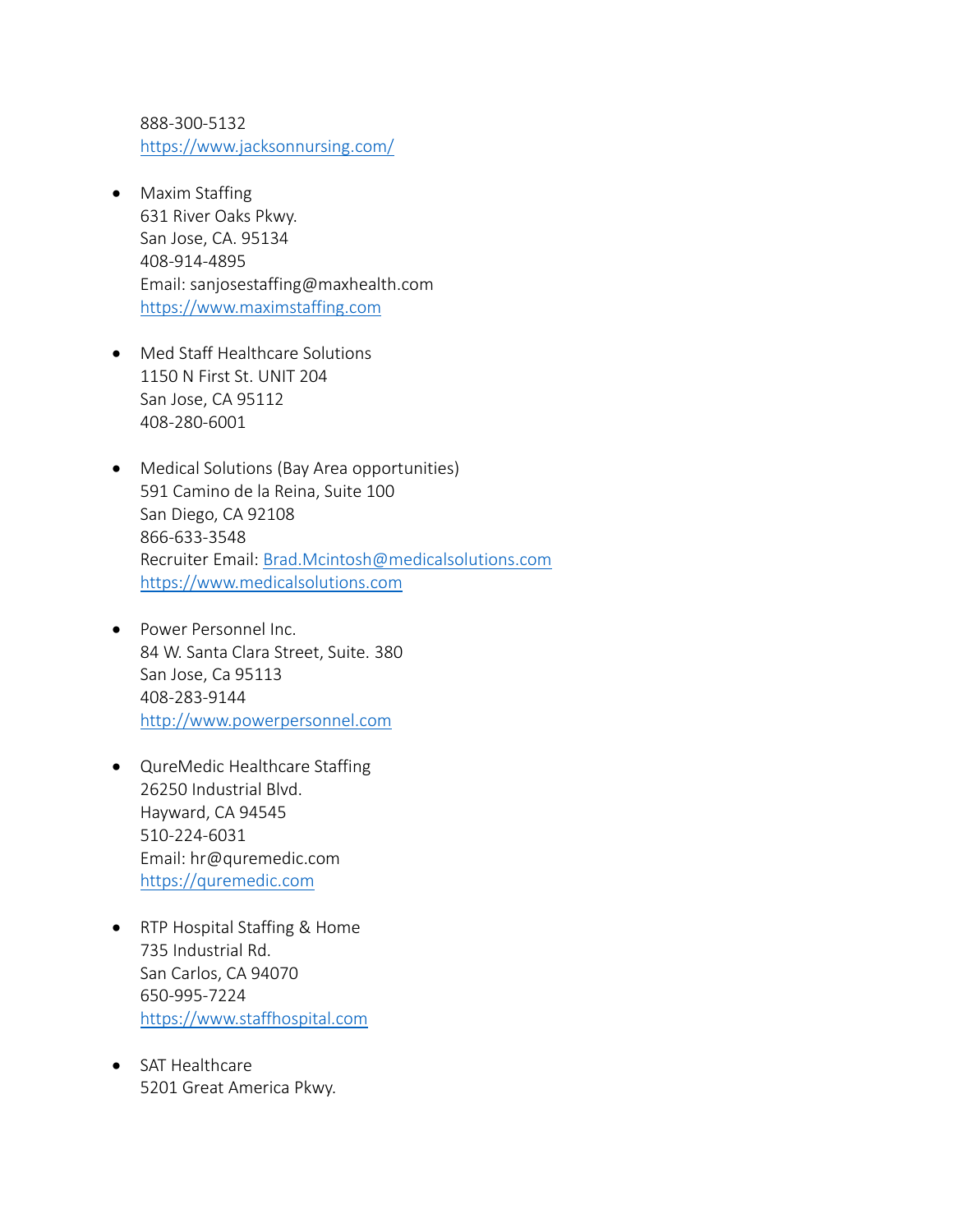888-300-5132 <https://www.jacksonnursing.com/>

- Maxim Staffing 631 River Oaks Pkwy. San Jose, CA. 95134 408-914-4895 Email: sanjosestaffing@maxhealth.com [https://www.maximstaffing.com](https://www.maximstaffing.com/)
- Med Staff Healthcare Solutions 1150 N First St. UNIT 204 San Jose, CA 95112 408-280-6001
- Medical Solutions (Bay Area opportunities) 591 Camino de la Reina, Suite 100 San Diego, CA 92108 866-633-3548 Recruiter Email: [Brad.Mcintosh@medicalsolutions.com](mailto:Brad.Mcintosh@medicalsolutions.com) [https://www.medicalsolutions.com](https://www.medicalsolutions.com/)
- Power Personnel Inc. 84 W. Santa Clara Street, Suite. 380 San Jose, Ca 95113 408-283-9144 [http://www.powerpersonnel.com](http://www.powerpersonnel.com/)
- QureMedic Healthcare Staffing 26250 Industrial Blvd. Hayward, CA 94545 510-224-6031 Email: hr@quremedic.com [https://quremedic.com](https://quremedic.com/)
- RTP Hospital Staffing & Home 735 Industrial Rd. San Carlos, CA 94070 650-995-7224 [https://www.staffhospital.com](https://www.staffhospital.com/)
- SAT Healthcare 5201 Great America Pkwy.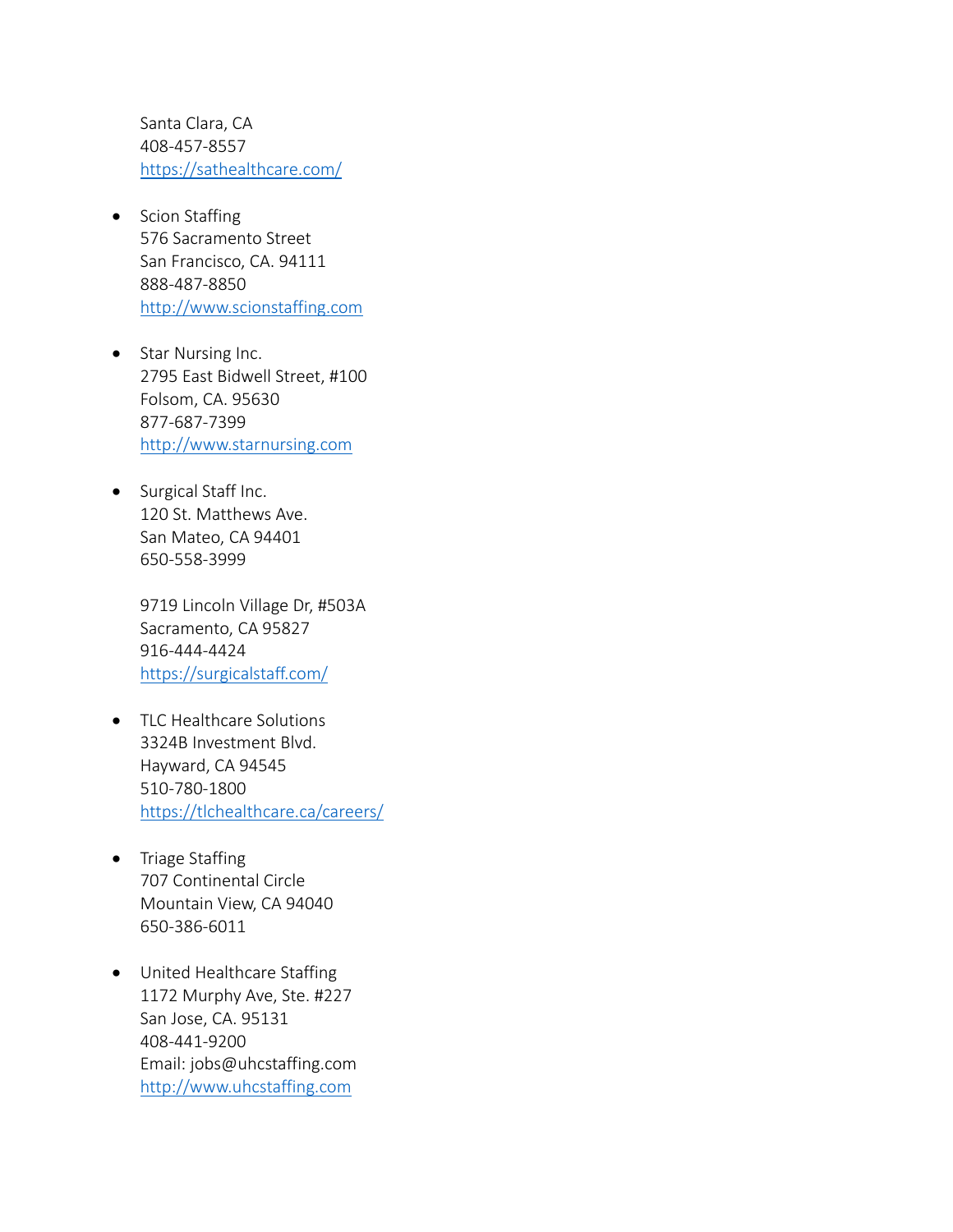Santa Clara, CA 408-457-8557 <https://sathealthcare.com/>

- Scion Staffing 576 Sacramento Street San Francisco, CA. 94111 888-487-8850 [http://www.scionstaffing.com](http://www.scionstaffing.com/)
- Star Nursing Inc. 2795 East Bidwell Street, #100 Folsom, CA. 95630 877-687-7399 [http://www.starnursing.com](http://www.starnursing.com/)
- Surgical Staff Inc. 120 St. Matthews Ave. San Mateo, CA 94401 650-558-3999

9719 Lincoln Village Dr, #503A Sacramento, CA 95827 916-444-4424 <https://surgicalstaff.com/>

- TLC Healthcare Solutions 3324B Investment Blvd. Hayward, CA 94545 510-780-1800 <https://tlchealthcare.ca/careers/>
- Triage Staffing 707 Continental Circle Mountain View, CA 94040 650-386-6011
- United Healthcare Staffing 1172 Murphy Ave, Ste. #227 San Jose, CA. 95131 408-441-9200 Email: jobs@uhcstaffing.com [http://www.uhcstaffing.com](http://www.uhcstaffing.com/)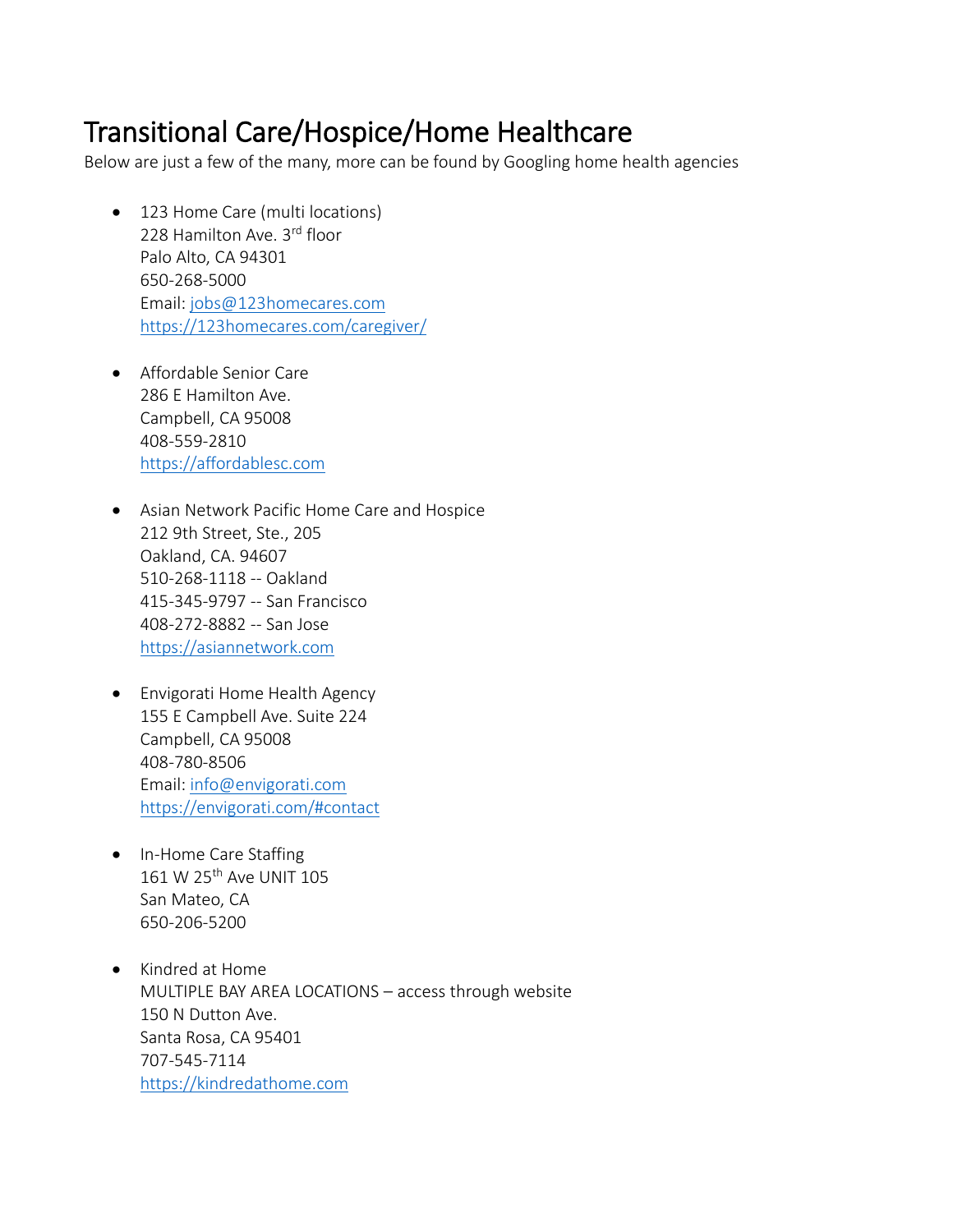## Transitional Care/Hospice/Home Healthcare

Below are just a few of the many, more can be found by Googling home health agencies

- 123 Home Care (multi locations) 228 Hamilton Ave. 3rd floor Palo Alto, CA 94301 650-268-5000 Email: [jobs@123homecares.com](mailto:jobs@123homecares.com) <https://123homecares.com/caregiver/>
- Affordable Senior Care 286 E Hamilton Ave. Campbell, CA 95008 408-559-2810 [https://affordablesc.com](https://affordablesc.com/)
- Asian Network Pacific Home Care and Hospice 212 9th Street, Ste., 205 Oakland, CA. 94607 510-268-1118 -- Oakland 415-345-9797 -- San Francisco 408-272-8882 -- San Jose [https://asiannetwork.com](https://asiannetwork.com/)
- Envigorati Home Health Agency 155 E Campbell Ave. Suite 224 Campbell, CA 95008 408-780-8506 Email: [info@envigorati.com](mailto:info@envigorati.com) <https://envigorati.com/#contact>
- In-Home Care Staffing 161 W 25th Ave UNIT 105 San Mateo, CA 650-206-5200
- Kindred at Home MULTIPLE BAY AREA LOCATIONS – access through website 150 N Dutton Ave. Santa Rosa, CA 95401 707-545-7114 [https://kindredathome.com](https://kindredathome.com/)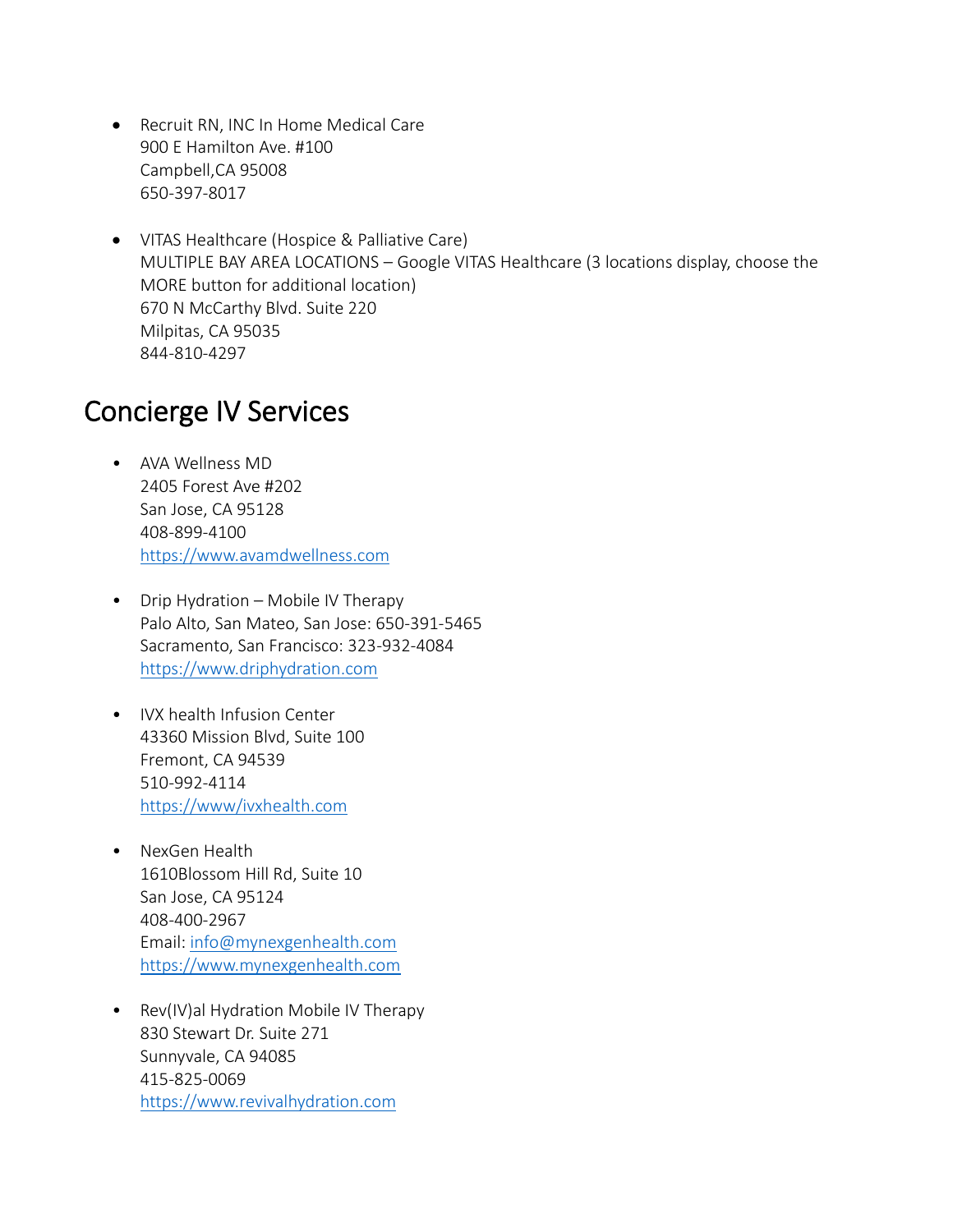- Recruit RN, INC In Home Medical Care 900 E Hamilton Ave. #100 Campbell,CA 95008 650-397-8017
- VITAS Healthcare (Hospice & Palliative Care) MULTIPLE BAY AREA LOCATIONS – Google VITAS Healthcare (3 locations display, choose the MORE button for additional location) 670 N McCarthy Blvd. Suite 220 Milpitas, CA 95035 844-810-4297

## Concierge IV Services

- AVA Wellness MD 2405 Forest Ave #202 San Jose, CA 95128 408-899-4100 [https://www.avamdwellness.com](https://www.avamdwellness.com/)
- Drip Hydration Mobile IV Therapy Palo Alto, San Mateo, San Jose: 650-391-5465 Sacramento, San Francisco: 323-932-4084 [https://www.driphydration.com](https://www.driphydration.com/)
- IVX health Infusion Center 43360 Mission Blvd, Suite 100 Fremont, CA 94539 510-992-4114 <https://www/ivxhealth.com>
- NexGen Health 1610Blossom Hill Rd, Suite 10 San Jose, CA 95124 408-400-2967 Email: [info@mynexgenhealth.com](mailto:info@mynexgenhealth.com) [https://www.mynexgenhealth.com](https://www.mynexgenhealth.com/)
- Rev(IV)al Hydration Mobile IV Therapy 830 Stewart Dr. Suite 271 Sunnyvale, CA 94085 415-825-0069 [https://www.revivalhydration.com](https://www.revivalhydration.com/)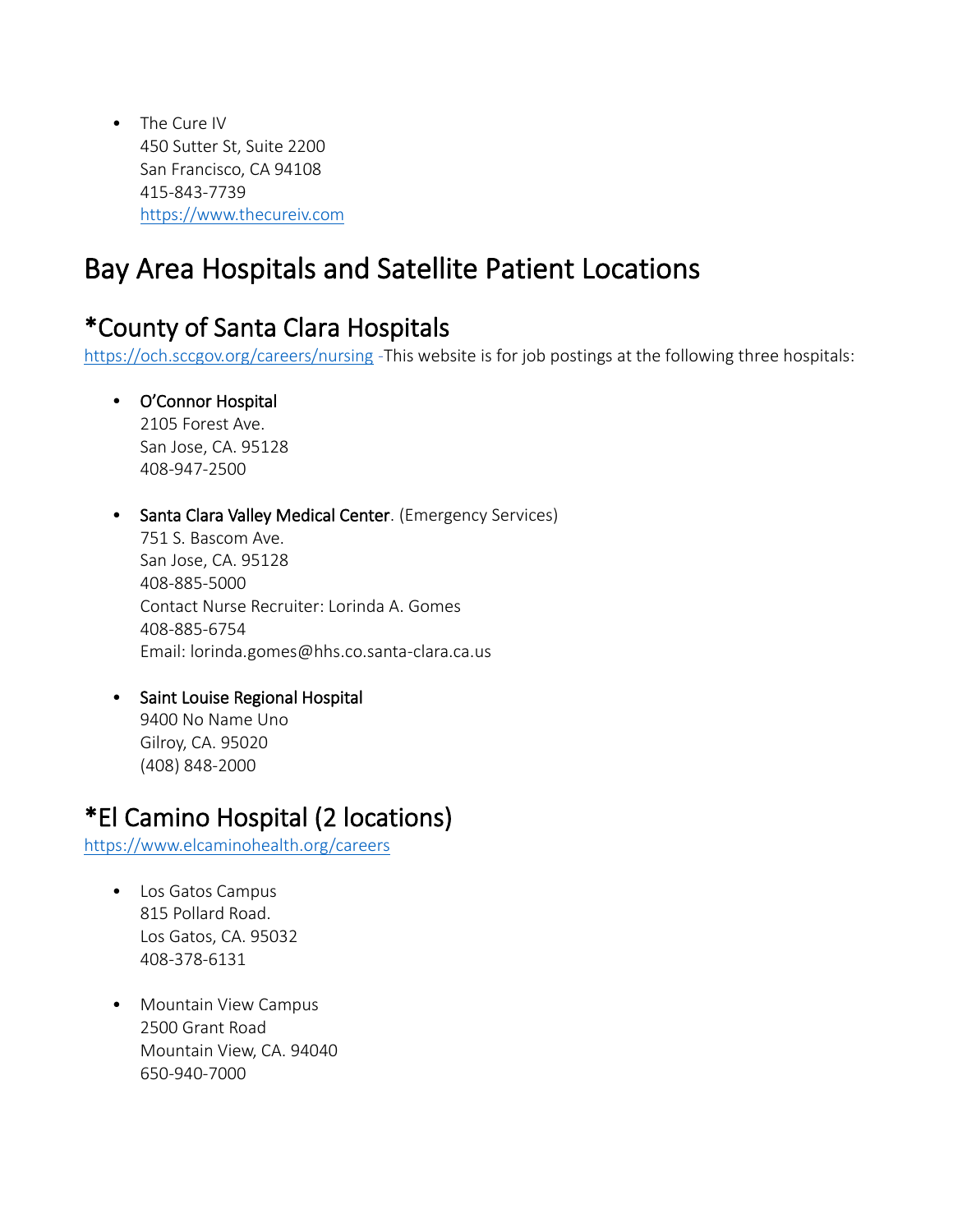• The Cure IV 450 Sutter St, Suite 2200 San Francisco, CA 94108 415-843-7739 [https://www.thecureiv.com](https://www.thecureiv.com/)

# Bay Area Hospitals and Satellite Patient Locations

## \*County of Santa Clara Hospitals

<https://och.sccgov.org/careers/nursing> -This website is for job postings at the following three hospitals:

### • O'Connor Hospital

2105 Forest Ave. San Jose, CA. 95128 408-947-2500

#### • Santa Clara Valley Medical Center. (Emergency Services)

751 S. Bascom Ave. San Jose, CA. 95128 408-885-5000 Contact Nurse Recruiter: Lorinda A. Gomes 408-885-6754 Email: lorinda.gomes@hhs.co.santa-clara.ca.us

### • Saint Louise Regional Hospital

9400 No Name Uno Gilroy, CA. 95020 (408) 848-2000

## \*El Camino Hospital (2 locations)

<https://www.elcaminohealth.org/careers>

- Los Gatos Campus 815 Pollard Road. Los Gatos, CA. 95032 408-378-6131
- Mountain View Campus 2500 Grant Road Mountain View, CA. 94040 650-940-7000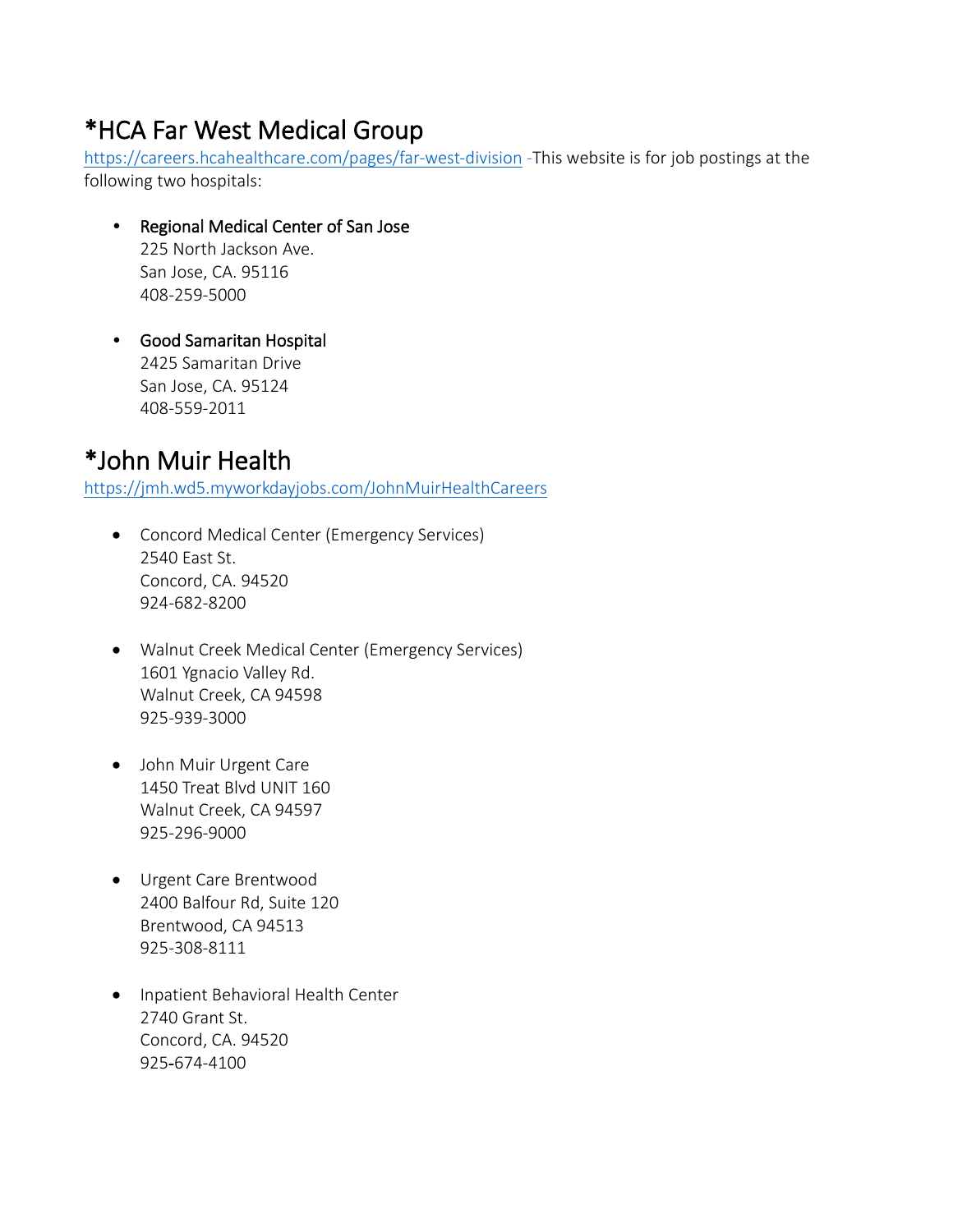## \*HCA Far West Medical Group

<https://careers.hcahealthcare.com/pages/far-west-division> -This website is for job postings at the following two hospitals:

- Regional Medical Center of San Jose 225 North Jackson Ave. San Jose, CA. 95116 408-259-5000
- Good Samaritan Hospital 2425 Samaritan Drive San Jose, CA. 95124 408-559-2011

## \*John Muir Health

<https://jmh.wd5.myworkdayjobs.com/JohnMuirHealthCareers>

- Concord Medical Center (Emergency Services) 2540 East St. Concord, CA. 94520 924-682-8200
- Walnut Creek Medical Center (Emergency Services) 1601 Ygnacio Valley Rd. Walnut Creek, CA 94598 925-939-3000
- John Muir Urgent Care 1450 Treat Blvd UNIT 160 Walnut Creek, CA 94597 925-296-9000
- Urgent Care Brentwood 2400 Balfour Rd, Suite 120 Brentwood, CA 94513 925-308-8111
- Inpatient Behavioral Health Center 2740 Grant St. Concord, CA. 94520 925-674-4100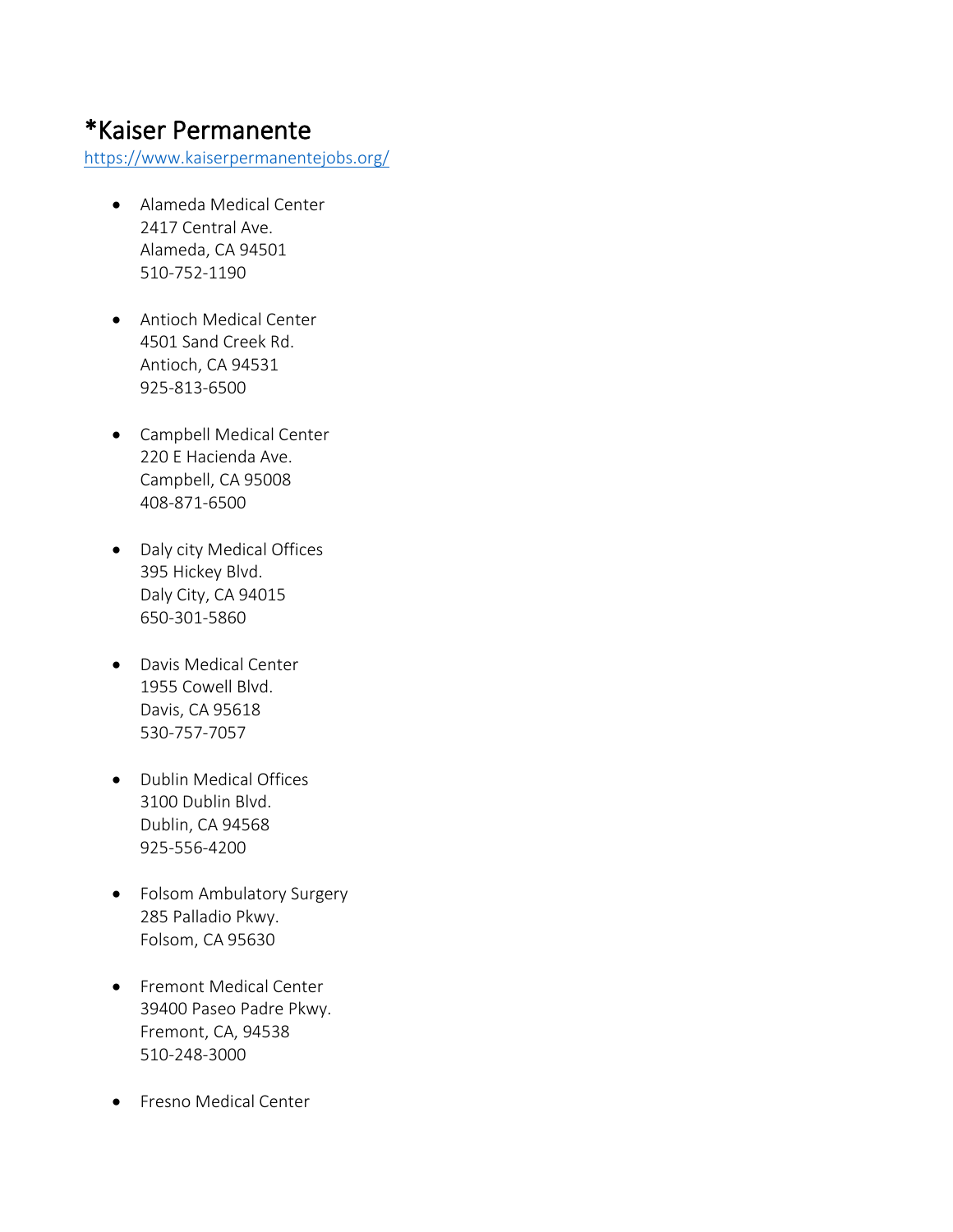### \*Kaiser Permanente

<https://www.kaiserpermanentejobs.org/>

- Alameda Medical Center 2417 Central Ave. Alameda, CA 94501 510-752-1190
- Antioch Medical Center 4501 Sand Creek Rd. Antioch, CA 94531 925-813-6500
- Campbell Medical Center 220 E Hacienda Ave. Campbell, CA 95008 408-871-6500
- Daly city Medical Offices 395 Hickey Blvd. Daly City, CA 94015 650-301-5860
- Davis Medical Center 1955 Cowell Blvd. Davis, CA 95618 530-757-7057
- Dublin Medical Offices 3100 Dublin Blvd. Dublin, CA 94568 925-556-4200
- Folsom Ambulatory Surgery 285 Palladio Pkwy. Folsom, CA 95630
- [Fremont Medical Center](http://www.kaiserpermanentejobs.org/locations.aspx)  39400 Paseo Padre Pkwy. Fremont, CA, 94538 510-248-3000
- Fresno Medical Center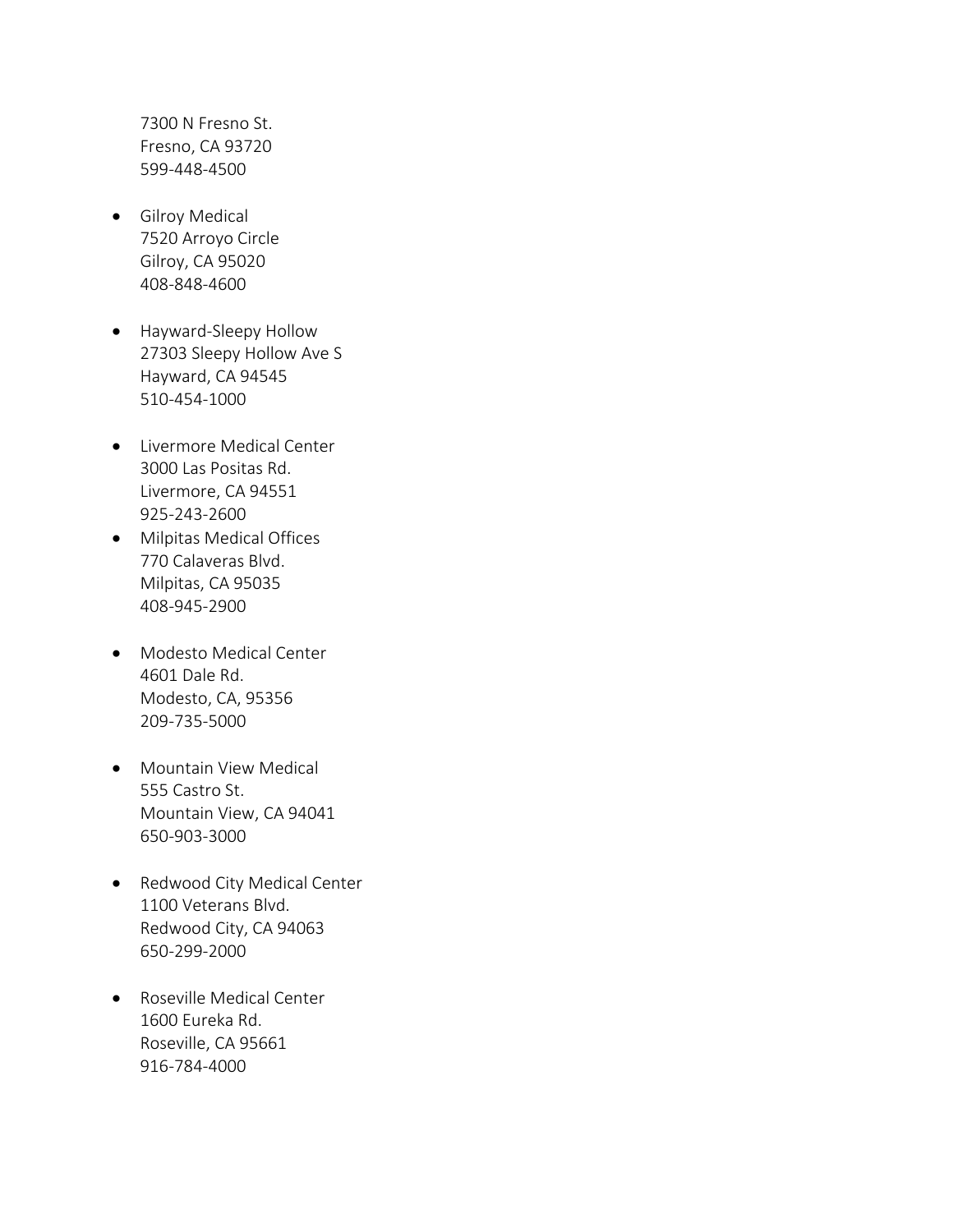7300 N Fresno St. Fresno, CA 93720 599-448-4500

- Gilroy Medical 7520 Arroyo Circle Gilroy, CA 95020 408-848-4600
- Hayward-Sleepy Hollow 27303 Sleepy Hollow Ave S Hayward, CA 94545 510-454-1000
- Livermore Medical Center 3000 Las Positas Rd. Livermore, CA 94551 925-243-2600
- Milpitas Medical Offices 770 Calaveras Blvd. Milpitas, CA 95035 408-945-2900
- Modesto Medical Center 4601 Dale Rd. Modesto, CA, 95356 209-735-5000
- Mountain View Medical 555 Castro St. Mountain View, CA 94041 650-903-3000
- Redwood City Medical Center 1100 Veterans Blvd. Redwood City, CA 94063 650-299-2000
- Roseville Medical Center 1600 Eureka Rd. Roseville, CA 95661 916-784-4000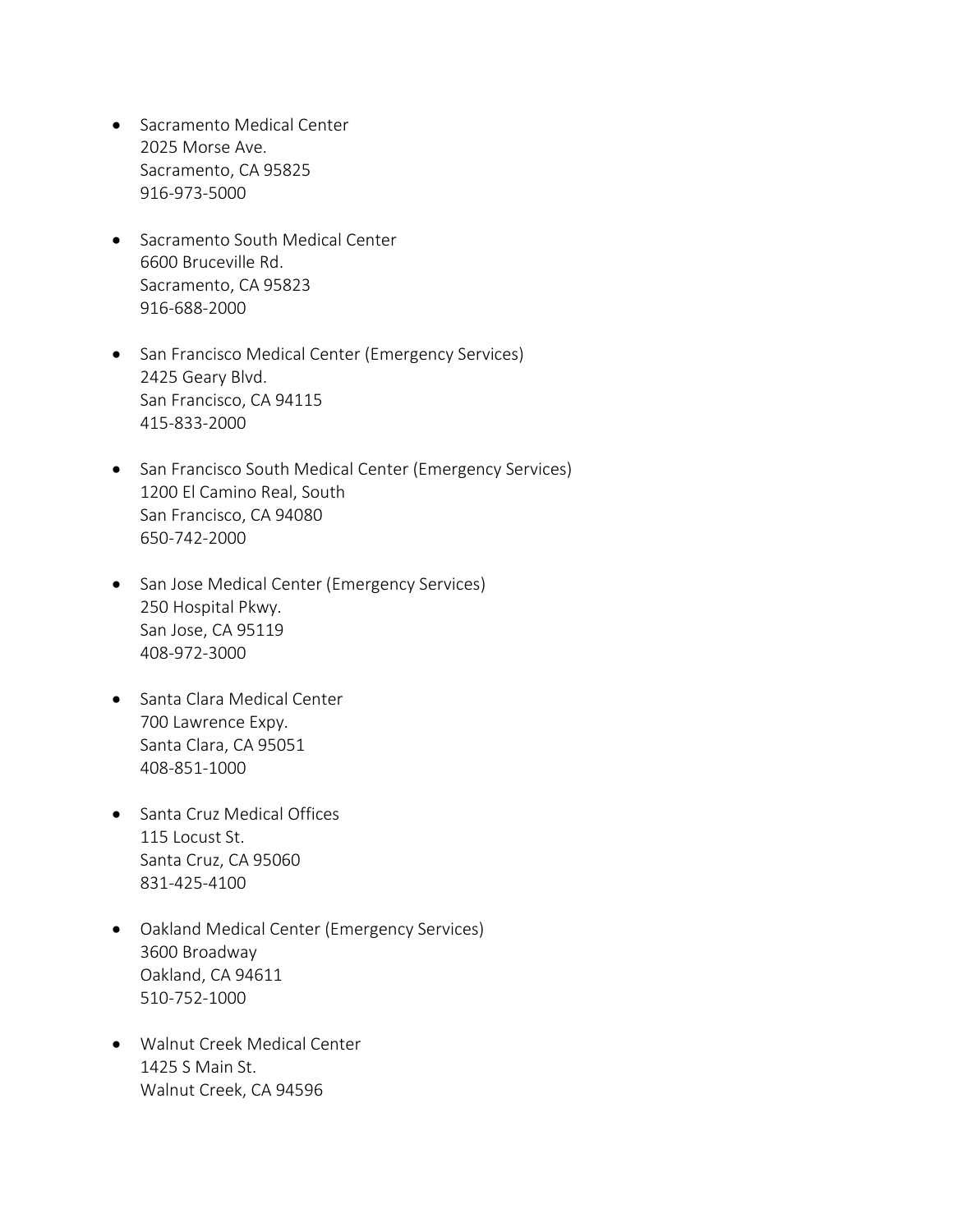- Sacramento Medical Center 2025 Morse Ave. Sacramento, CA 95825 916-973-5000
- Sacramento South Medical Center 6600 Bruceville Rd. Sacramento, CA 95823 916-688-2000
- San Francisco Medical Center (Emergency Services) 2425 Geary Blvd. San Francisco, CA 94115 415-833-2000
- San Francisco South Medical Center (Emergency Services) 1200 El Camino Real, South San Francisco, CA 94080 650-742-2000
- San Jose Medical Center (Emergency Services) 250 Hospital Pkwy. San Jose, CA 95119 408-972-3000
- Santa Clara Medical Center 700 Lawrence Expy. Santa Clara, CA 95051 408-851-1000
- Santa Cruz Medical Offices 115 Locust St. Santa Cruz, CA 95060 831-425-4100
- Oakland Medical Center (Emergency Services) 3600 Broadway Oakland, CA 94611 510-752-1000
- Walnut Creek Medical Center 1425 S Main St. Walnut Creek, CA 94596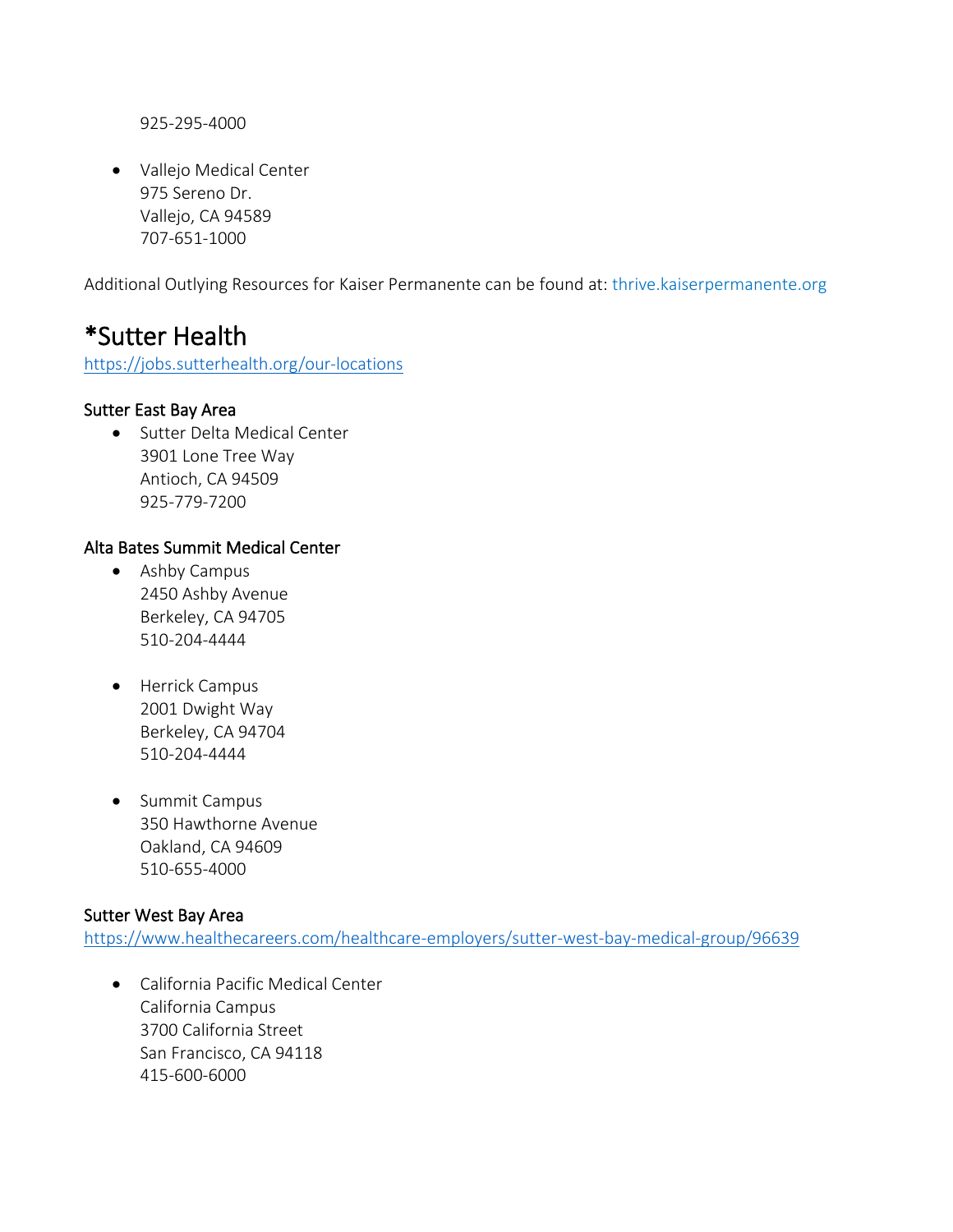925-295-4000

• Vallejo Medical Center 975 Sereno Dr. Vallejo, CA 94589 707-651-1000

Additional Outlying Resources for Kaiser Permanente can be found at: thrive.kaiserpermanente.org

### \*Sutter Health

<https://jobs.sutterhealth.org/our-locations>

#### Sutter East Bay Area

• Sutter Delta Medical Center 3901 Lone Tree Way Antioch, CA 94509 925-779-7200

#### Alta Bates Summit Medical Center

- Ashby Campus 2450 Ashby Avenue Berkeley, CA 94705 510-204-4444
- Herrick Campus 2001 Dwight Way Berkeley, CA 94704 510-204-4444
- Summit Campus 350 Hawthorne Avenue Oakland, CA 94609 510-655-4000

#### Sutter West Bay Area

<https://www.healthecareers.com/healthcare-employers/sutter-west-bay-medical-group/96639>

• California Pacific Medical Center California Campus 3700 California Street San Francisco, CA 94118 415-600-6000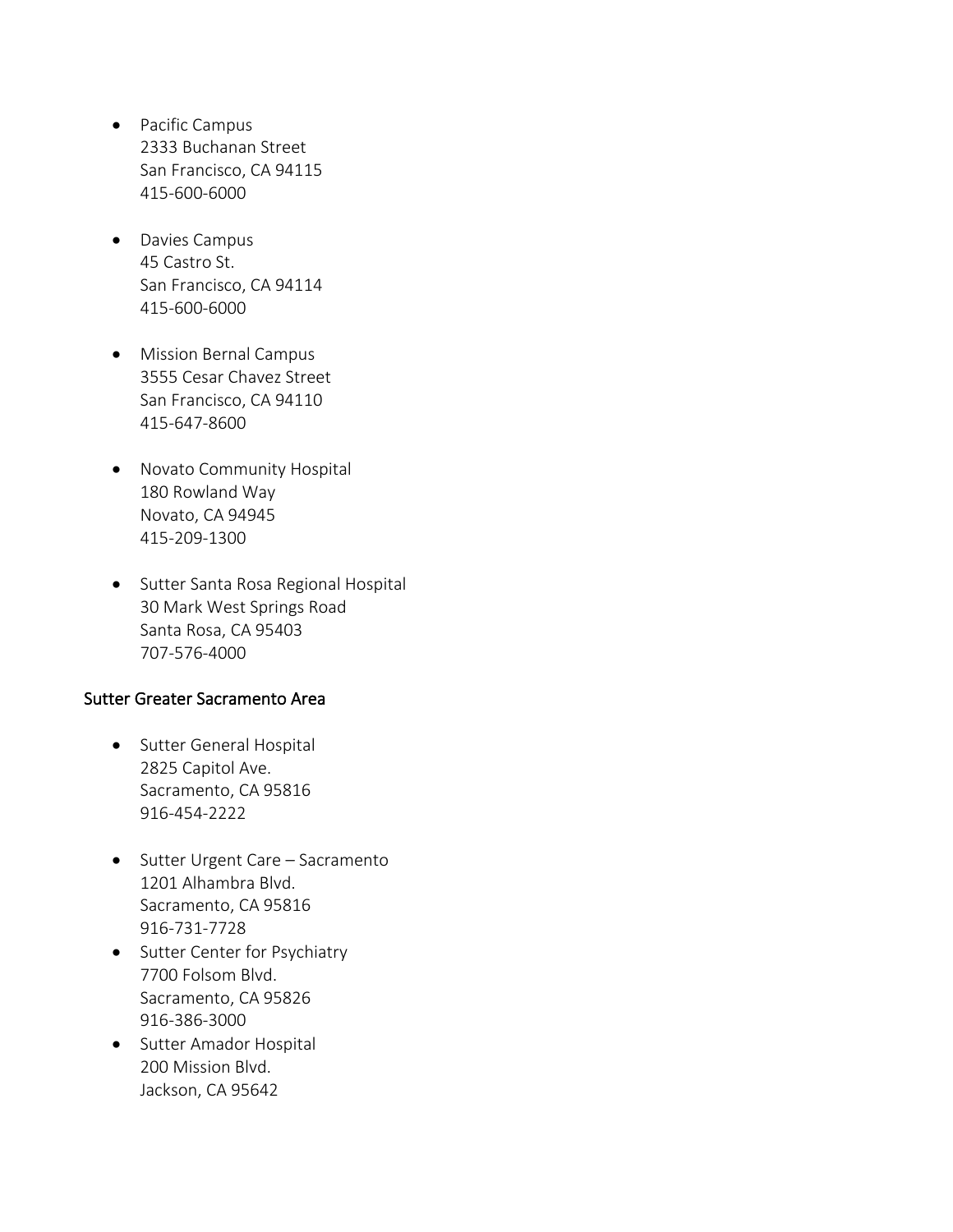- Pacific Campus 2333 Buchanan Street San Francisco, CA 94115 415-600-6000
- Davies Campus 45 Castro St. San Francisco, CA 94114 415-600-6000
- Mission Bernal Campus 3555 Cesar Chavez Street San Francisco, CA 94110 415-647-8600
- Novato Community Hospital 180 Rowland Way Novato, CA 94945 415-209-1300
- Sutter Santa Rosa Regional Hospital 30 Mark West Springs Road Santa Rosa, CA 95403 707-576-4000

#### Sutter Greater Sacramento Area

- Sutter General Hospital 2825 Capitol Ave. Sacramento, CA 95816 916-454-2222
- Sutter Urgent Care Sacramento 1201 Alhambra Blvd. Sacramento, CA 95816 916-731-7728
- Sutter Center for Psychiatry 7700 Folsom Blvd. Sacramento, CA 95826 916-386-3000
- Sutter Amador Hospital 200 Mission Blvd. Jackson, CA 95642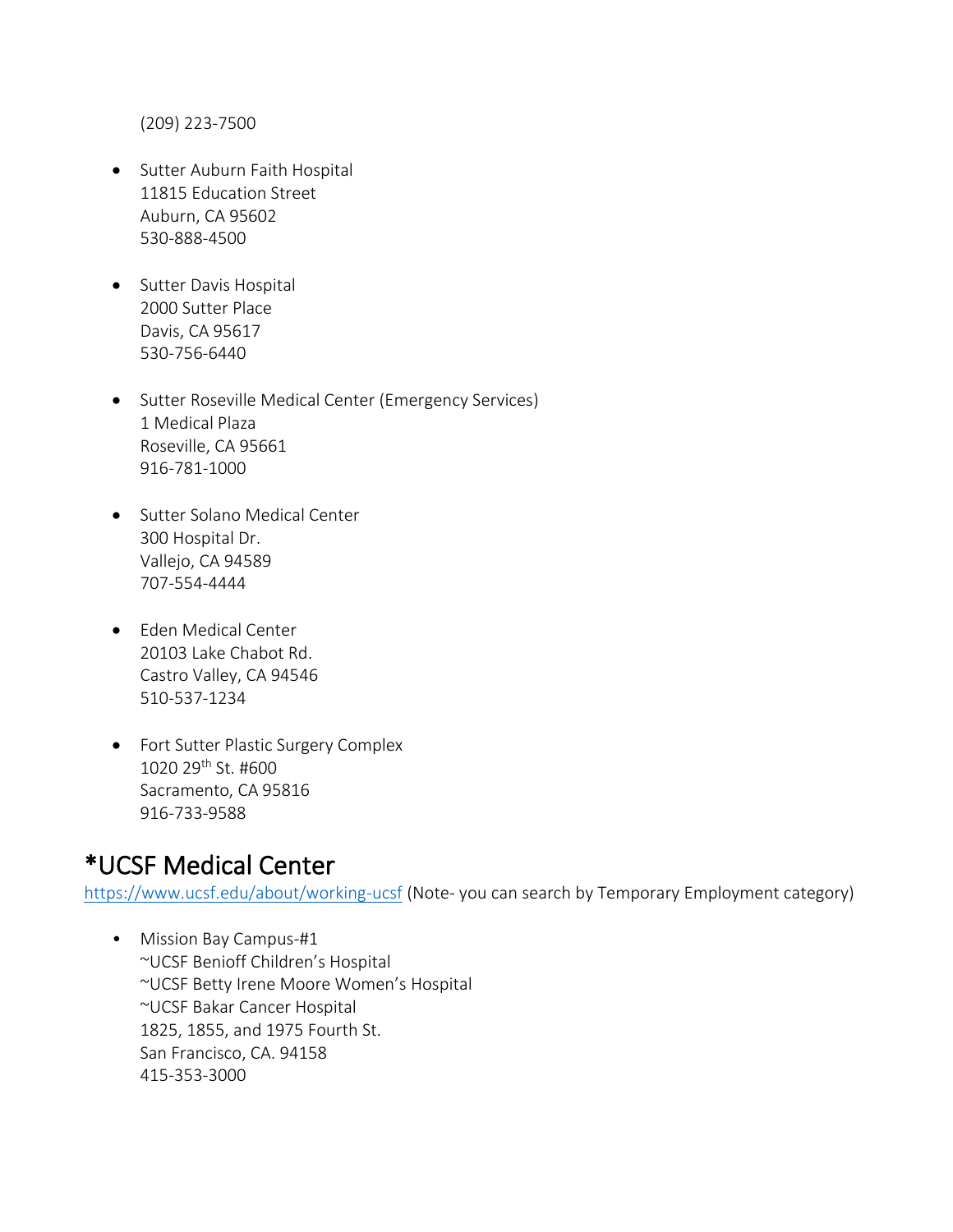(209) 223-7500

- Sutter Auburn Faith Hospital 11815 Education Street Auburn, CA 95602 530-888-4500
- Sutter Davis Hospital 2000 Sutter Place Davis, CA 95617 530-756-6440
- Sutter Roseville Medical Center (Emergency Services) 1 Medical Plaza Roseville, CA 95661 916-781-1000
- Sutter Solano Medical Center 300 Hospital Dr. Vallejo, CA 94589 707-554-4444
- Eden Medical Center 20103 Lake Chabot Rd. Castro Valley, CA 94546 510-537-1234
- Fort Sutter Plastic Surgery Complex 1020 29th St. #600 Sacramento, CA 95816 916-733-9588

### \*UCSF Medical Center

<https://www.ucsf.edu/about/working-ucsf> (Note- you can search by Temporary Employment category)

• Mission Bay Campus-#1 ~UCSF Benioff Children's Hospital ~UCSF Betty Irene Moore Women's Hospital ~UCSF Bakar Cancer Hospital 1825, 1855, and 1975 Fourth St. San Francisco, CA. 94158 415-353-3000